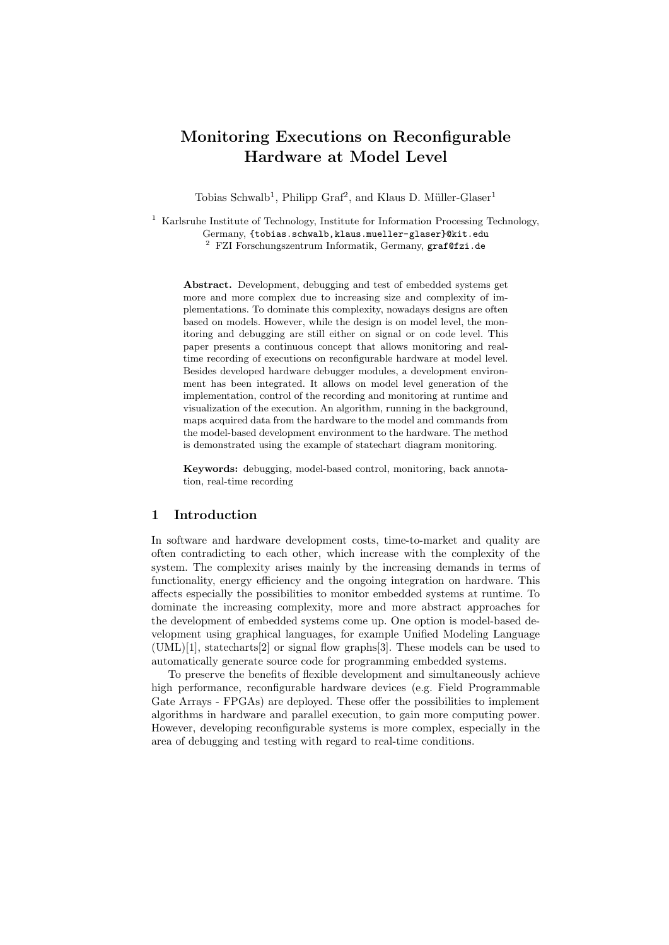# Monitoring Executions on Reconfigurable Hardware at Model Level

Tobias Schwalb<sup>1</sup>, Philipp Graf<sup>2</sup>, and Klaus D. Müller-Glaser<sup>1</sup>

<sup>1</sup> Karlsruhe Institute of Technology, Institute for Information Processing Technology, Germany, {tobias.schwalb,klaus.mueller-glaser}@kit.edu  $^{2}$  FZI Forschungszentrum Informatik, Germany, graf@fzi.de

Abstract. Development, debugging and test of embedded systems get more and more complex due to increasing size and complexity of implementations. To dominate this complexity, nowadays designs are often based on models. However, while the design is on model level, the monitoring and debugging are still either on signal or on code level. This paper presents a continuous concept that allows monitoring and realtime recording of executions on reconfigurable hardware at model level. Besides developed hardware debugger modules, a development environment has been integrated. It allows on model level generation of the implementation, control of the recording and monitoring at runtime and visualization of the execution. An algorithm, running in the background, maps acquired data from the hardware to the model and commands from the model-based development environment to the hardware. The method is demonstrated using the example of statechart diagram monitoring.

Keywords: debugging, model-based control, monitoring, back annotation, real-time recording

### 1 Introduction

In software and hardware development costs, time-to-market and quality are often contradicting to each other, which increase with the complexity of the system. The complexity arises mainly by the increasing demands in terms of functionality, energy efficiency and the ongoing integration on hardware. This affects especially the possibilities to monitor embedded systems at runtime. To dominate the increasing complexity, more and more abstract approaches for the development of embedded systems come up. One option is model-based development using graphical languages, for example Unified Modeling Language (UML)[1], statecharts[2] or signal flow graphs[3]. These models can be used to automatically generate source code for programming embedded systems.

To preserve the benefits of flexible development and simultaneously achieve high performance, reconfigurable hardware devices (e.g. Field Programmable Gate Arrays - FPGAs) are deployed. These offer the possibilities to implement algorithms in hardware and parallel execution, to gain more computing power. However, developing reconfigurable systems is more complex, especially in the area of debugging and testing with regard to real-time conditions.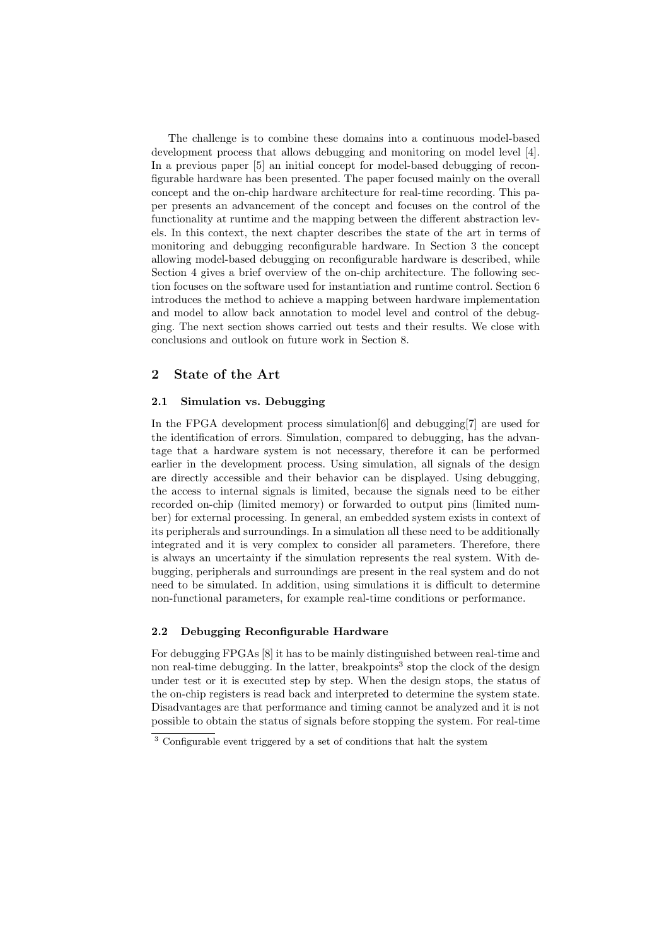The challenge is to combine these domains into a continuous model-based development process that allows debugging and monitoring on model level [4]. In a previous paper [5] an initial concept for model-based debugging of reconfigurable hardware has been presented. The paper focused mainly on the overall concept and the on-chip hardware architecture for real-time recording. This paper presents an advancement of the concept and focuses on the control of the functionality at runtime and the mapping between the different abstraction levels. In this context, the next chapter describes the state of the art in terms of monitoring and debugging reconfigurable hardware. In Section 3 the concept allowing model-based debugging on reconfigurable hardware is described, while Section 4 gives a brief overview of the on-chip architecture. The following section focuses on the software used for instantiation and runtime control. Section 6 introduces the method to achieve a mapping between hardware implementation and model to allow back annotation to model level and control of the debugging. The next section shows carried out tests and their results. We close with conclusions and outlook on future work in Section 8.

## 2 State of the Art

#### 2.1 Simulation vs. Debugging

In the FPGA development process simulation[6] and debugging[7] are used for the identification of errors. Simulation, compared to debugging, has the advantage that a hardware system is not necessary, therefore it can be performed earlier in the development process. Using simulation, all signals of the design are directly accessible and their behavior can be displayed. Using debugging, the access to internal signals is limited, because the signals need to be either recorded on-chip (limited memory) or forwarded to output pins (limited number) for external processing. In general, an embedded system exists in context of its peripherals and surroundings. In a simulation all these need to be additionally integrated and it is very complex to consider all parameters. Therefore, there is always an uncertainty if the simulation represents the real system. With debugging, peripherals and surroundings are present in the real system and do not need to be simulated. In addition, using simulations it is difficult to determine non-functional parameters, for example real-time conditions or performance.

#### 2.2 Debugging Reconfigurable Hardware

For debugging FPGAs [8] it has to be mainly distinguished between real-time and non real-time debugging. In the latter, breakpoints<sup>3</sup> stop the clock of the design under test or it is executed step by step. When the design stops, the status of the on-chip registers is read back and interpreted to determine the system state. Disadvantages are that performance and timing cannot be analyzed and it is not possible to obtain the status of signals before stopping the system. For real-time

<sup>3</sup> Configurable event triggered by a set of conditions that halt the system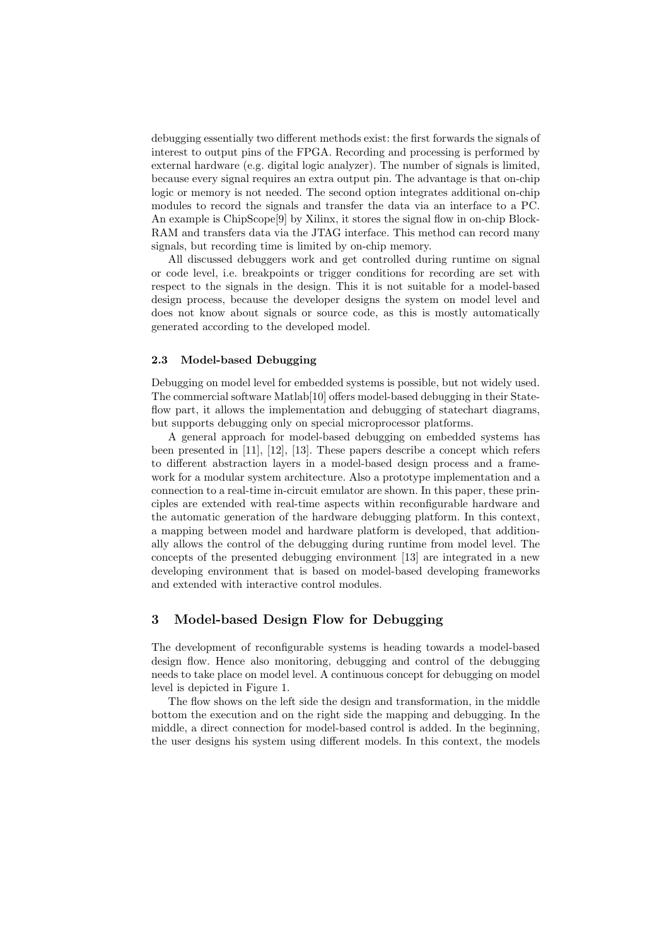debugging essentially two different methods exist: the first forwards the signals of interest to output pins of the FPGA. Recording and processing is performed by external hardware (e.g. digital logic analyzer). The number of signals is limited, because every signal requires an extra output pin. The advantage is that on-chip logic or memory is not needed. The second option integrates additional on-chip modules to record the signals and transfer the data via an interface to a PC. An example is ChipScope[9] by Xilinx, it stores the signal flow in on-chip Block-RAM and transfers data via the JTAG interface. This method can record many signals, but recording time is limited by on-chip memory.

All discussed debuggers work and get controlled during runtime on signal or code level, i.e. breakpoints or trigger conditions for recording are set with respect to the signals in the design. This it is not suitable for a model-based design process, because the developer designs the system on model level and does not know about signals or source code, as this is mostly automatically generated according to the developed model.

#### 2.3 Model-based Debugging

Debugging on model level for embedded systems is possible, but not widely used. The commercial software Matlab[10] offers model-based debugging in their Stateflow part, it allows the implementation and debugging of statechart diagrams, but supports debugging only on special microprocessor platforms.

A general approach for model-based debugging on embedded systems has been presented in [11], [12], [13]. These papers describe a concept which refers to different abstraction layers in a model-based design process and a framework for a modular system architecture. Also a prototype implementation and a connection to a real-time in-circuit emulator are shown. In this paper, these principles are extended with real-time aspects within reconfigurable hardware and the automatic generation of the hardware debugging platform. In this context, a mapping between model and hardware platform is developed, that additionally allows the control of the debugging during runtime from model level. The concepts of the presented debugging environment [13] are integrated in a new developing environment that is based on model-based developing frameworks and extended with interactive control modules.

## 3 Model-based Design Flow for Debugging

The development of reconfigurable systems is heading towards a model-based design flow. Hence also monitoring, debugging and control of the debugging needs to take place on model level. A continuous concept for debugging on model level is depicted in Figure 1.

The flow shows on the left side the design and transformation, in the middle bottom the execution and on the right side the mapping and debugging. In the middle, a direct connection for model-based control is added. In the beginning, the user designs his system using different models. In this context, the models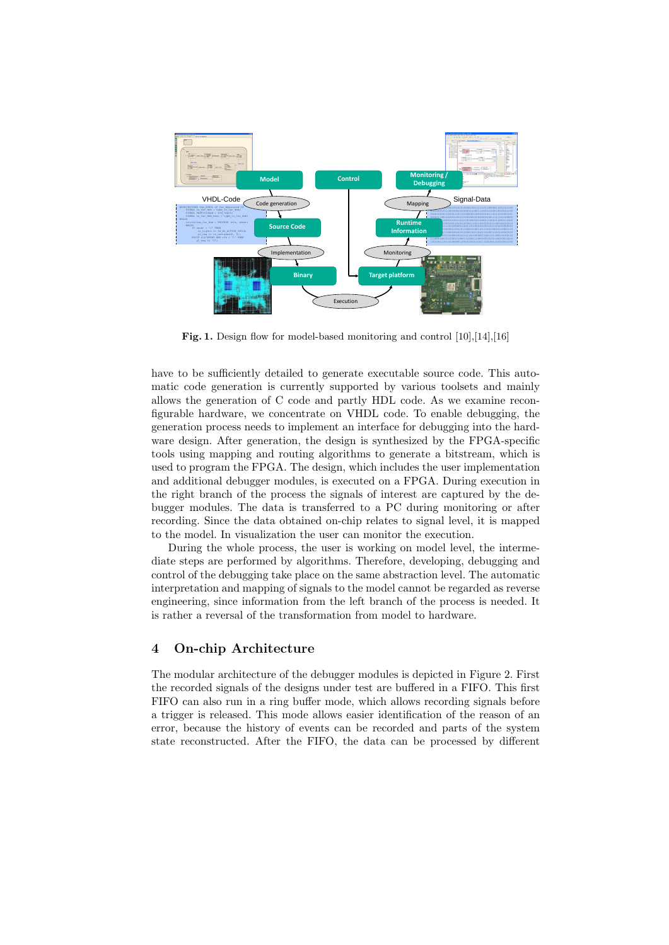

Fig. 1. Design flow for model-based monitoring and control [10],[14],[16]

have to be sufficiently detailed to generate executable source code. This automatic code generation is currently supported by various toolsets and mainly allows the generation of C code and partly HDL code. As we examine reconfigurable hardware, we concentrate on VHDL code. To enable debugging, the generation process needs to implement an interface for debugging into the hardware design. After generation, the design is synthesized by the FPGA-specific tools using mapping and routing algorithms to generate a bitstream, which is used to program the FPGA. The design, which includes the user implementation and additional debugger modules, is executed on a FPGA. During execution in the right branch of the process the signals of interest are captured by the debugger modules. The data is transferred to a PC during monitoring or after recording. Since the data obtained on-chip relates to signal level, it is mapped to the model. In visualization the user can monitor the execution.

During the whole process, the user is working on model level, the intermediate steps are performed by algorithms. Therefore, developing, debugging and control of the debugging take place on the same abstraction level. The automatic interpretation and mapping of signals to the model cannot be regarded as reverse engineering, since information from the left branch of the process is needed. It is rather a reversal of the transformation from model to hardware.

## 4 On-chip Architecture

The modular architecture of the debugger modules is depicted in Figure 2. First the recorded signals of the designs under test are buffered in a FIFO. This first FIFO can also run in a ring buffer mode, which allows recording signals before a trigger is released. This mode allows easier identification of the reason of an error, because the history of events can be recorded and parts of the system state reconstructed. After the FIFO, the data can be processed by different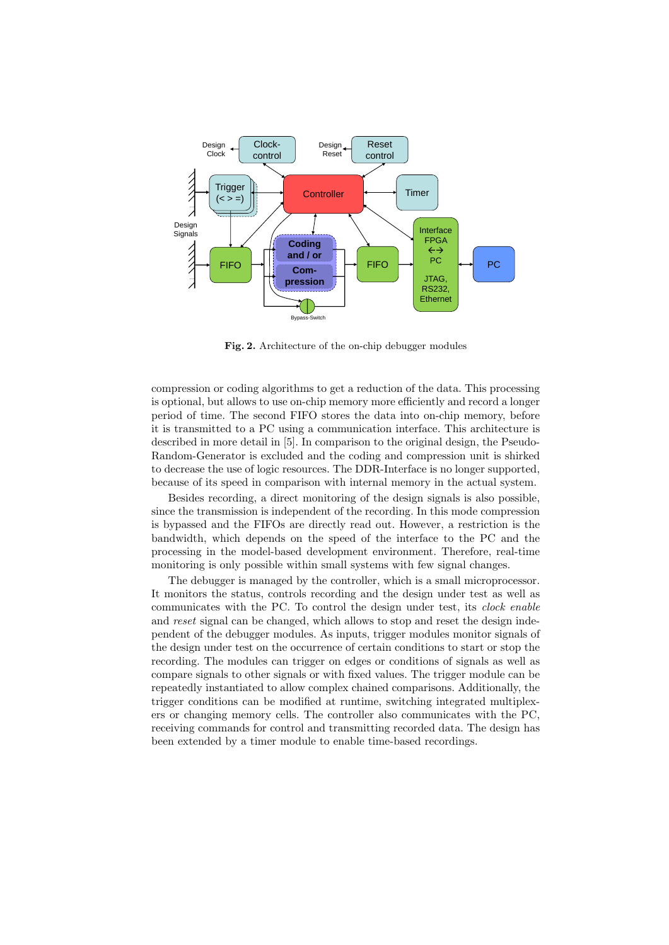

Fig. 2. Architecture of the on-chip debugger modules

compression or coding algorithms to get a reduction of the data. This processing is optional, but allows to use on-chip memory more efficiently and record a longer period of time. The second FIFO stores the data into on-chip memory, before it is transmitted to a PC using a communication interface. This architecture is described in more detail in [5]. In comparison to the original design, the Pseudo-Random-Generator is excluded and the coding and compression unit is shirked to decrease the use of logic resources. The DDR-Interface is no longer supported, because of its speed in comparison with internal memory in the actual system.

Besides recording, a direct monitoring of the design signals is also possible, since the transmission is independent of the recording. In this mode compression is bypassed and the FIFOs are directly read out. However, a restriction is the bandwidth, which depends on the speed of the interface to the PC and the processing in the model-based development environment. Therefore, real-time monitoring is only possible within small systems with few signal changes.

The debugger is managed by the controller, which is a small microprocessor. It monitors the status, controls recording and the design under test as well as communicates with the PC. To control the design under test, its clock enable and reset signal can be changed, which allows to stop and reset the design independent of the debugger modules. As inputs, trigger modules monitor signals of the design under test on the occurrence of certain conditions to start or stop the recording. The modules can trigger on edges or conditions of signals as well as compare signals to other signals or with fixed values. The trigger module can be repeatedly instantiated to allow complex chained comparisons. Additionally, the trigger conditions can be modified at runtime, switching integrated multiplexers or changing memory cells. The controller also communicates with the PC, receiving commands for control and transmitting recorded data. The design has been extended by a timer module to enable time-based recordings.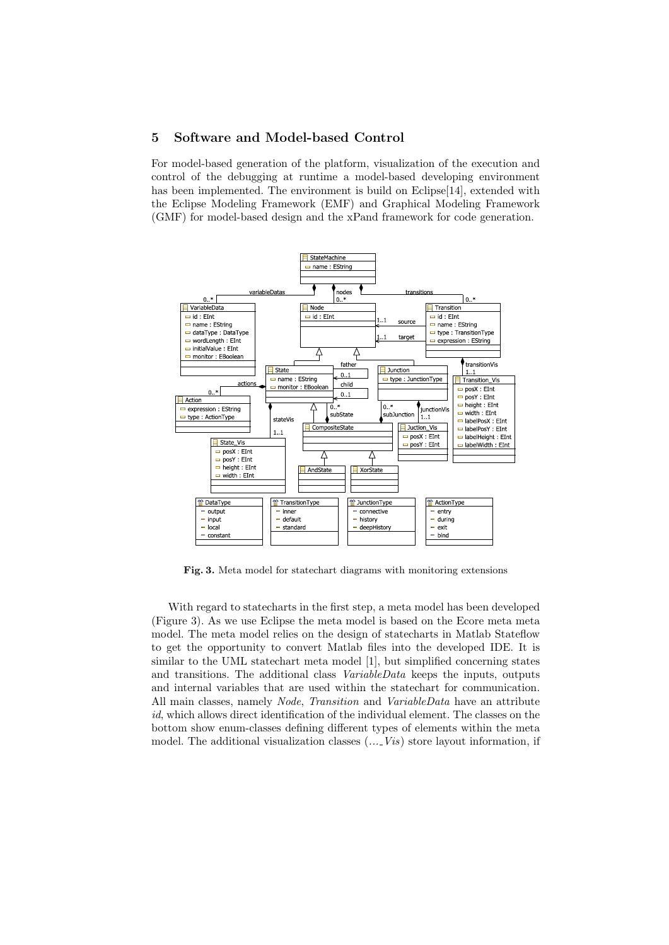### 5 Software and Model-based Control

For model-based generation of the platform, visualization of the execution and control of the debugging at runtime a model-based developing environment has been implemented. The environment is build on Eclipse[14], extended with the Eclipse Modeling Framework (EMF) and Graphical Modeling Framework (GMF) for model-based design and the xPand framework for code generation.



Fig. 3. Meta model for statechart diagrams with monitoring extensions

With regard to statecharts in the first step, a meta model has been developed (Figure 3). As we use Eclipse the meta model is based on the Ecore meta meta model. The meta model relies on the design of statecharts in Matlab Stateflow to get the opportunity to convert Matlab files into the developed IDE. It is similar to the UML statechart meta model [1], but simplified concerning states and transitions. The additional class *VariableData* keeps the inputs, outputs and internal variables that are used within the statechart for communication. All main classes, namely *Node, Transition* and *VariableData* have an attribute id, which allows direct identification of the individual element. The classes on the bottom show enum-classes defining different types of elements within the meta model. The additional visualization classes  $(...$  Vis) store layout information, if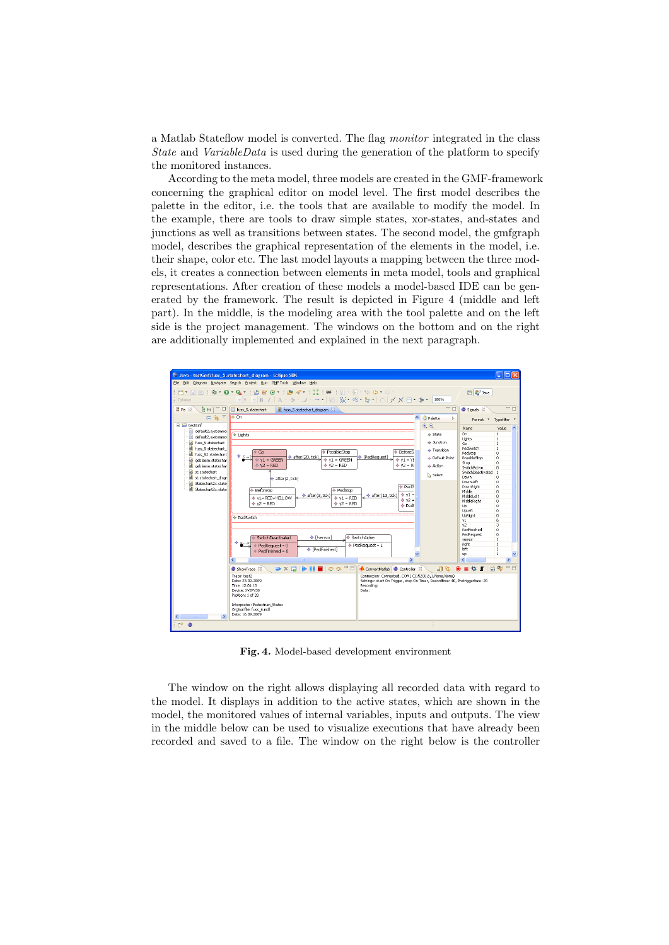a Matlab Stateflow model is converted. The flag monitor integrated in the class State and VariableData is used during the generation of the platform to specify the monitored instances.

According to the meta model, three models are created in the GMF-framework concerning the graphical editor on model level. The first model describes the palette in the editor, i.e. the tools that are available to modify the model. In the example, there are tools to draw simple states, xor-states, and-states and junctions as well as transitions between states. The second model, the gmfgraph model, describes the graphical representation of the elements in the model, i.e. their shape, color etc. The last model layouts a mapping between the three models, it creates a connection between elements in meta model, tools and graphical representations. After creation of these models a model-based IDE can be generated by the framework. The result is depicted in Figure 4 (middle and left part). In the middle, is the modeling area with the tool palette and on the left side is the project management. The windows on the bottom and on the right are additionally implemented and explained in the next paragraph.



Fig. 4. Model-based development environment

The window on the right allows displaying all recorded data with regard to the model. It displays in addition to the active states, which are shown in the model, the monitored values of internal variables, inputs and outputs. The view in the middle below can be used to visualize executions that have already been recorded and saved to a file. The window on the right below is the controller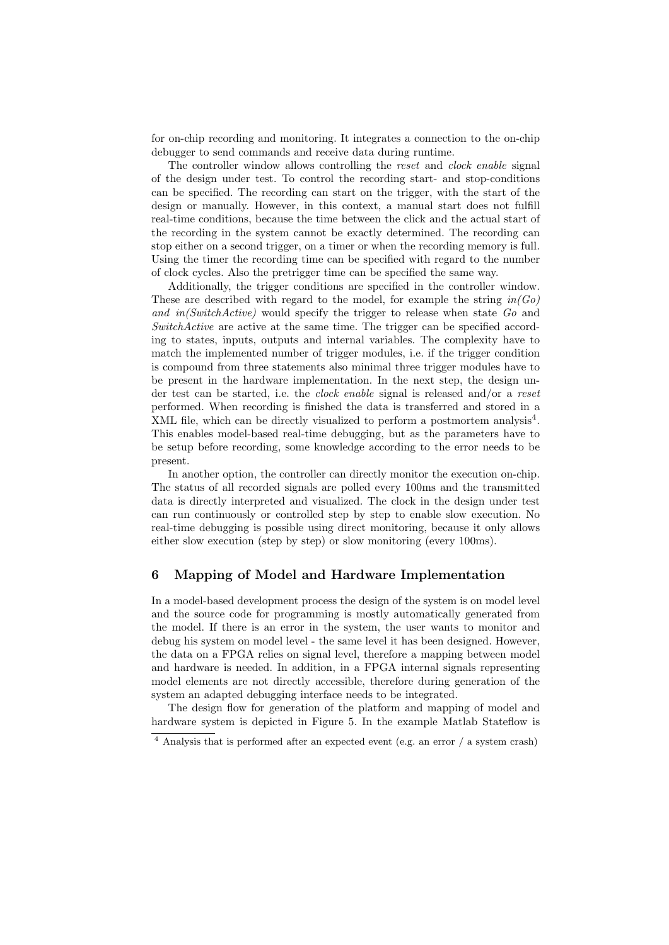for on-chip recording and monitoring. It integrates a connection to the on-chip debugger to send commands and receive data during runtime.

The controller window allows controlling the reset and clock enable signal of the design under test. To control the recording start- and stop-conditions can be specified. The recording can start on the trigger, with the start of the design or manually. However, in this context, a manual start does not fulfill real-time conditions, because the time between the click and the actual start of the recording in the system cannot be exactly determined. The recording can stop either on a second trigger, on a timer or when the recording memory is full. Using the timer the recording time can be specified with regard to the number of clock cycles. Also the pretrigger time can be specified the same way.

Additionally, the trigger conditions are specified in the controller window. These are described with regard to the model, for example the string  $in(Go)$ and in(SwitchActive) would specify the trigger to release when state Go and SwitchActive are active at the same time. The trigger can be specified according to states, inputs, outputs and internal variables. The complexity have to match the implemented number of trigger modules, i.e. if the trigger condition is compound from three statements also minimal three trigger modules have to be present in the hardware implementation. In the next step, the design under test can be started, i.e. the clock enable signal is released and/or a reset performed. When recording is finished the data is transferred and stored in a XML file, which can be directly visualized to perform a postmortem analysis<sup>4</sup>. This enables model-based real-time debugging, but as the parameters have to be setup before recording, some knowledge according to the error needs to be present.

In another option, the controller can directly monitor the execution on-chip. The status of all recorded signals are polled every 100ms and the transmitted data is directly interpreted and visualized. The clock in the design under test can run continuously or controlled step by step to enable slow execution. No real-time debugging is possible using direct monitoring, because it only allows either slow execution (step by step) or slow monitoring (every 100ms).

## 6 Mapping of Model and Hardware Implementation

In a model-based development process the design of the system is on model level and the source code for programming is mostly automatically generated from the model. If there is an error in the system, the user wants to monitor and debug his system on model level - the same level it has been designed. However, the data on a FPGA relies on signal level, therefore a mapping between model and hardware is needed. In addition, in a FPGA internal signals representing model elements are not directly accessible, therefore during generation of the system an adapted debugging interface needs to be integrated.

The design flow for generation of the platform and mapping of model and hardware system is depicted in Figure 5. In the example Matlab Stateflow is

<sup>4</sup> Analysis that is performed after an expected event (e.g. an error / a system crash)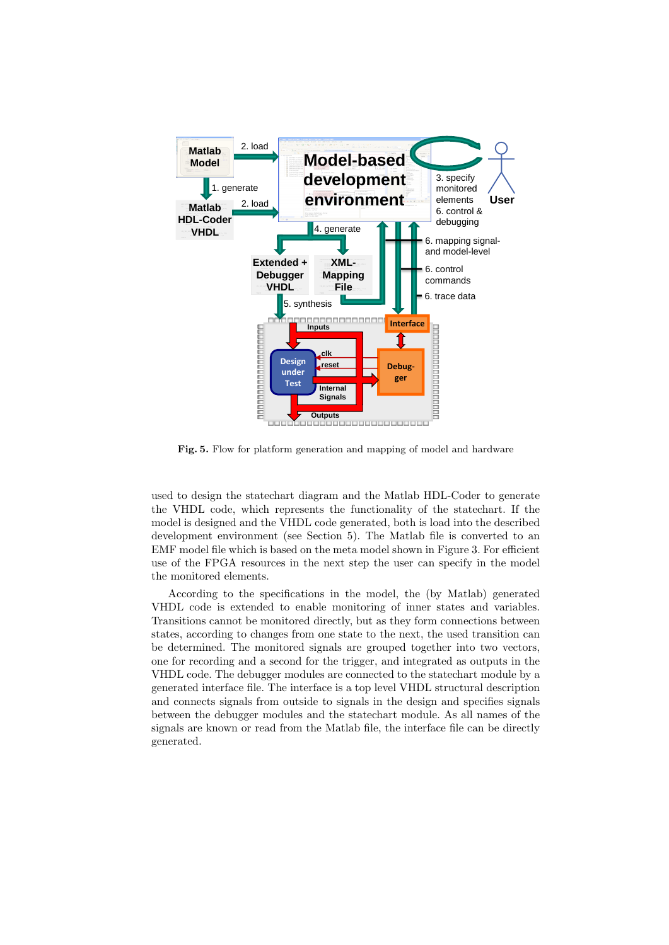

Fig. 5. Flow for platform generation and mapping of model and hardware

used to design the statechart diagram and the Matlab HDL-Coder to generate the VHDL code, which represents the functionality of the statechart. If the model is designed and the VHDL code generated, both is load into the described development environment (see Section 5). The Matlab file is converted to an EMF model file which is based on the meta model shown in Figure 3. For efficient use of the FPGA resources in the next step the user can specify in the model the monitored elements.

According to the specifications in the model, the (by Matlab) generated VHDL code is extended to enable monitoring of inner states and variables. Transitions cannot be monitored directly, but as they form connections between states, according to changes from one state to the next, the used transition can be determined. The monitored signals are grouped together into two vectors, one for recording and a second for the trigger, and integrated as outputs in the VHDL code. The debugger modules are connected to the statechart module by a generated interface file. The interface is a top level VHDL structural description and connects signals from outside to signals in the design and specifies signals between the debugger modules and the statechart module. As all names of the signals are known or read from the Matlab file, the interface file can be directly generated.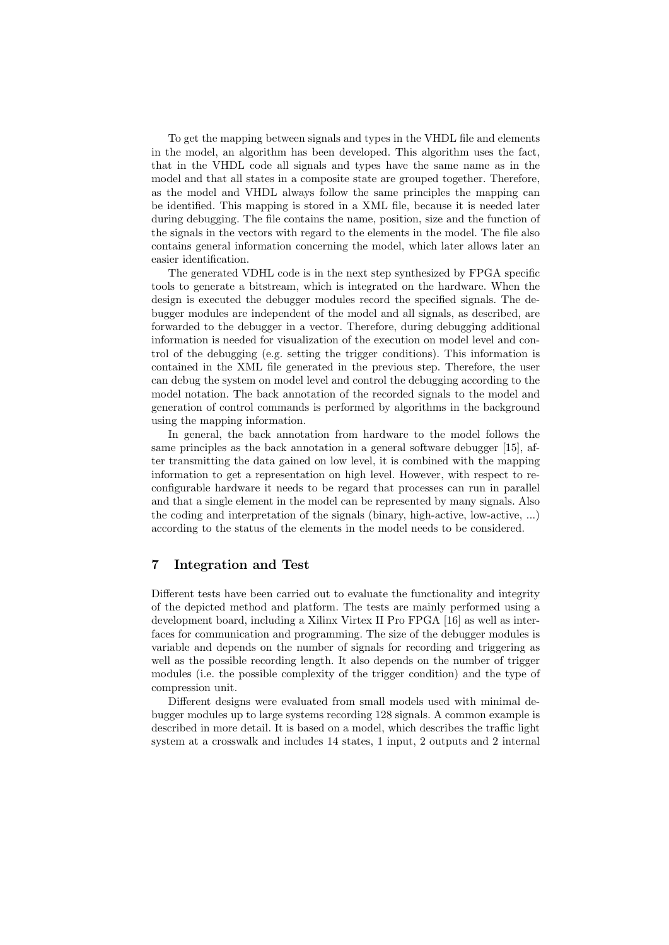To get the mapping between signals and types in the VHDL file and elements in the model, an algorithm has been developed. This algorithm uses the fact, that in the VHDL code all signals and types have the same name as in the model and that all states in a composite state are grouped together. Therefore, as the model and VHDL always follow the same principles the mapping can be identified. This mapping is stored in a XML file, because it is needed later during debugging. The file contains the name, position, size and the function of the signals in the vectors with regard to the elements in the model. The file also contains general information concerning the model, which later allows later an easier identification.

The generated VDHL code is in the next step synthesized by FPGA specific tools to generate a bitstream, which is integrated on the hardware. When the design is executed the debugger modules record the specified signals. The debugger modules are independent of the model and all signals, as described, are forwarded to the debugger in a vector. Therefore, during debugging additional information is needed for visualization of the execution on model level and control of the debugging (e.g. setting the trigger conditions). This information is contained in the XML file generated in the previous step. Therefore, the user can debug the system on model level and control the debugging according to the model notation. The back annotation of the recorded signals to the model and generation of control commands is performed by algorithms in the background using the mapping information.

In general, the back annotation from hardware to the model follows the same principles as the back annotation in a general software debugger [15], after transmitting the data gained on low level, it is combined with the mapping information to get a representation on high level. However, with respect to reconfigurable hardware it needs to be regard that processes can run in parallel and that a single element in the model can be represented by many signals. Also the coding and interpretation of the signals (binary, high-active, low-active, ...) according to the status of the elements in the model needs to be considered.

## 7 Integration and Test

Different tests have been carried out to evaluate the functionality and integrity of the depicted method and platform. The tests are mainly performed using a development board, including a Xilinx Virtex II Pro FPGA [16] as well as interfaces for communication and programming. The size of the debugger modules is variable and depends on the number of signals for recording and triggering as well as the possible recording length. It also depends on the number of trigger modules (i.e. the possible complexity of the trigger condition) and the type of compression unit.

Different designs were evaluated from small models used with minimal debugger modules up to large systems recording 128 signals. A common example is described in more detail. It is based on a model, which describes the traffic light system at a crosswalk and includes 14 states, 1 input, 2 outputs and 2 internal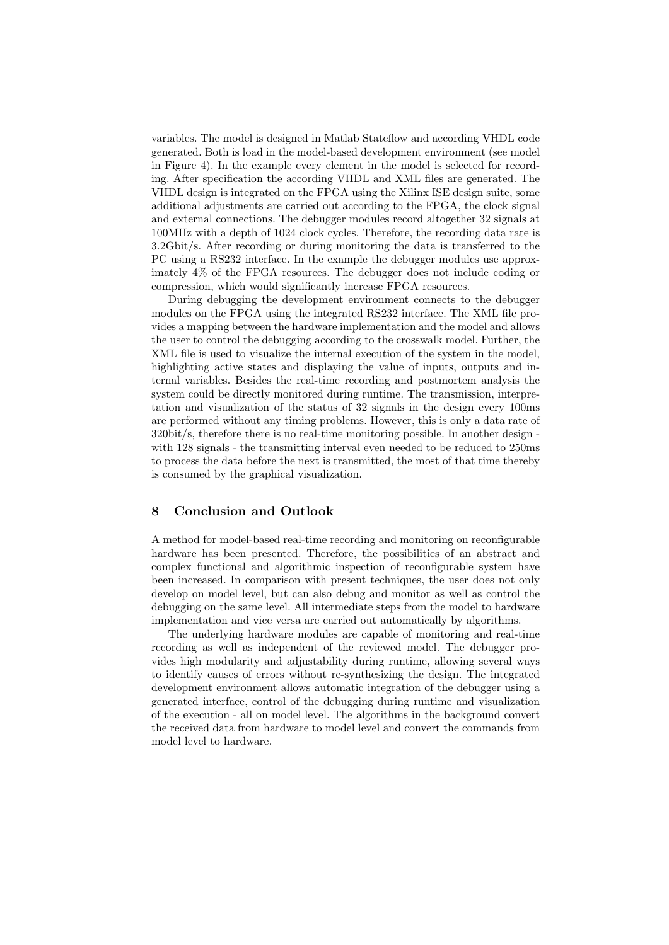variables. The model is designed in Matlab Stateflow and according VHDL code generated. Both is load in the model-based development environment (see model in Figure 4). In the example every element in the model is selected for recording. After specification the according VHDL and XML files are generated. The VHDL design is integrated on the FPGA using the Xilinx ISE design suite, some additional adjustments are carried out according to the FPGA, the clock signal and external connections. The debugger modules record altogether 32 signals at 100MHz with a depth of 1024 clock cycles. Therefore, the recording data rate is 3.2Gbit/s. After recording or during monitoring the data is transferred to the PC using a RS232 interface. In the example the debugger modules use approximately 4% of the FPGA resources. The debugger does not include coding or compression, which would significantly increase FPGA resources.

During debugging the development environment connects to the debugger modules on the FPGA using the integrated RS232 interface. The XML file provides a mapping between the hardware implementation and the model and allows the user to control the debugging according to the crosswalk model. Further, the XML file is used to visualize the internal execution of the system in the model, highlighting active states and displaying the value of inputs, outputs and internal variables. Besides the real-time recording and postmortem analysis the system could be directly monitored during runtime. The transmission, interpretation and visualization of the status of 32 signals in the design every 100ms are performed without any timing problems. However, this is only a data rate of 320bit/s, therefore there is no real-time monitoring possible. In another design with 128 signals - the transmitting interval even needed to be reduced to 250ms to process the data before the next is transmitted, the most of that time thereby is consumed by the graphical visualization.

## 8 Conclusion and Outlook

A method for model-based real-time recording and monitoring on reconfigurable hardware has been presented. Therefore, the possibilities of an abstract and complex functional and algorithmic inspection of reconfigurable system have been increased. In comparison with present techniques, the user does not only develop on model level, but can also debug and monitor as well as control the debugging on the same level. All intermediate steps from the model to hardware implementation and vice versa are carried out automatically by algorithms.

The underlying hardware modules are capable of monitoring and real-time recording as well as independent of the reviewed model. The debugger provides high modularity and adjustability during runtime, allowing several ways to identify causes of errors without re-synthesizing the design. The integrated development environment allows automatic integration of the debugger using a generated interface, control of the debugging during runtime and visualization of the execution - all on model level. The algorithms in the background convert the received data from hardware to model level and convert the commands from model level to hardware.